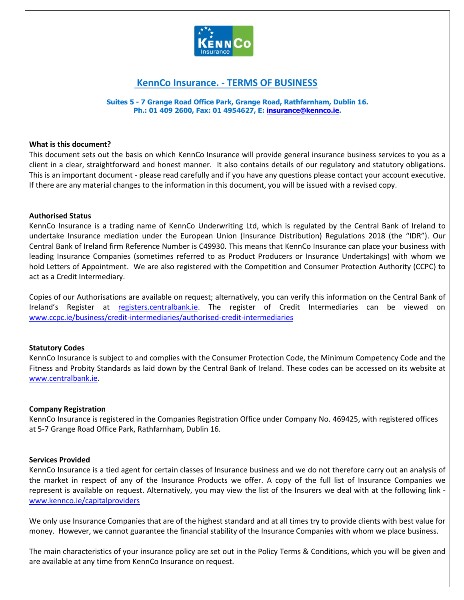

# **KennCo Insurance. - TERMS OF BUSINESS**

**Suites 5 - 7 Grange Road Office Park, Grange Road, Rathfarnham, Dublin 16. Ph.: 01 409 2600, Fax: 01 4954627, E: [insurance@kennco.ie.](mailto:insurance@kennco.ie)**

#### **What is this document?**

This document sets out the basis on which KennCo Insurance will provide general insurance business services to you as a client in a clear, straightforward and honest manner. It also contains details of our regulatory and statutory obligations. This is an important document - please read carefully and if you have any questions please contact your account executive. If there are any material changes to the information in this document, you will be issued with a revised copy.

#### **Authorised Status**

KennCo Insurance is a trading name of KennCo Underwriting Ltd, which is regulated by the Central Bank of Ireland to undertake Insurance mediation under the European Union (Insurance Distribution) Regulations 2018 (the "IDR"). Our Central Bank of Ireland firm Reference Number is C49930. This means that KennCo Insurance can place your business with leading Insurance Companies (sometimes referred to as Product Producers or Insurance Undertakings) with whom we hold Letters of Appointment. We are also registered with the Competition and Consumer Protection Authority (CCPC) to act as a Credit Intermediary.

Copies of our Authorisations are available on request; alternatively, you can verify this information on the Central Bank of Ireland's Register at [registers.centralbank.ie.](http://registers.centralbank.ie/) The register of Credit Intermediaries can be viewed on [www.ccpc.ie/business/credit-intermediaries/authorised-credit-intermediaries](https://www.ccpc.ie/business/credit-intermediaries/authorised-credit-intermediaries/)

## **Statutory Codes**

KennCo Insurance is subject to and complies with the Consumer Protection Code, the Minimum Competency Code and the Fitness and Probity Standards as laid down by the Central Bank of Ireland. These codes can be accessed on its website at [www.centralbank.ie.](http://www.centralbank.ie/)

#### **Company Registration**

KennCo Insurance is registered in the Companies Registration Office under Company No. 469425, with registered offices at 5-7 Grange Road Office Park, Rathfarnham, Dublin 16.

#### **Services Provided**

KennCo Insurance is a tied agent for certain classes of Insurance business and we do not therefore carry out an analysis of the market in respect of any of the Insurance Products we offer. A copy of the full list of Insurance Companies we represent is available on request. Alternatively, you may view the list of the Insurers we deal with at the following link [www.kennco.ie/capitalproviders](https://www.kennco.ie/capitalproviders/)

We only use Insurance Companies that are of the highest standard and at all times try to provide clients with best value for money. However, we cannot guarantee the financial stability of the Insurance Companies with whom we place business.

The main characteristics of your insurance policy are set out in the Policy Terms & Conditions, which you will be given and are available at any time from KennCo Insurance on request.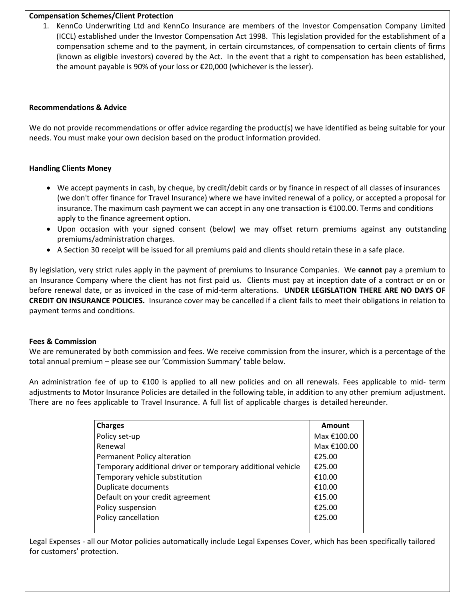## **Compensation Schemes/Client Protection**

1. KennCo Underwriting Ltd and KennCo Insurance are members of the Investor Compensation Company Limited (ICCL) established under the Investor Compensation Act 1998. This legislation provided for the establishment of a compensation scheme and to the payment, in certain circumstances, of compensation to certain clients of firms (known as eligible investors) covered by the Act. In the event that a right to compensation has been established, the amount payable is 90% of your loss or €20,000 (whichever is the lesser).

#### **Recommendations & Advice**

We do not provide recommendations or offer advice regarding the product(s) we have identified as being suitable for your needs. You must make your own decision based on the product information provided.

## **Handling Clients Money**

- We accept payments in cash, by cheque, by credit/debit cards or by finance in respect of all classes of insurances (we don't offer finance for Travel Insurance) where we have invited renewal of a policy, or accepted a proposal for insurance. The maximum cash payment we can accept in any one transaction is €100.00. Terms and conditions apply to the finance agreement option.
- Upon occasion with your signed consent (below) we may offset return premiums against any outstanding premiums/administration charges.
- A Section 30 receipt will be issued for all premiums paid and clients should retain these in a safe place.

By legislation, very strict rules apply in the payment of premiums to Insurance Companies. We **cannot** pay a premium to an Insurance Company where the client has not first paid us. Clients must pay at inception date of a contract or on or before renewal date, or as invoiced in the case of mid-term alterations. **UNDER LEGISLATION THERE ARE NO DAYS OF CREDIT ON INSURANCE POLICIES.** Insurance cover may be cancelled if a client fails to meet their obligations in relation to payment terms and conditions.

## **Fees & Commission**

We are remunerated by both commission and fees. We receive commission from the insurer, which is a percentage of the total annual premium – please see our 'Commission Summary' table below.

An administration fee of up to €100 is applied to all new policies and on all renewals. Fees applicable to mid- term adjustments to Motor Insurance Policies are detailed in the following table, in addition to any other premium adjustment. There are no fees applicable to Travel Insurance. A full list of applicable charges is detailed hereunder.

| <b>Charges</b>                                              | Amount      |
|-------------------------------------------------------------|-------------|
| Policy set-up                                               | Max €100.00 |
| Renewal                                                     | Max €100.00 |
| Permanent Policy alteration                                 | €25.00      |
| Temporary additional driver or temporary additional vehicle | €25.00      |
| Temporary vehicle substitution                              | €10.00      |
| Duplicate documents                                         | €10.00      |
| Default on your credit agreement                            | €15.00      |
| Policy suspension                                           | €25.00      |
| Policy cancellation                                         | €25.00      |
|                                                             |             |

Legal Expenses - all our Motor policies automatically include Legal Expenses Cover, which has been specifically tailored for customers' protection.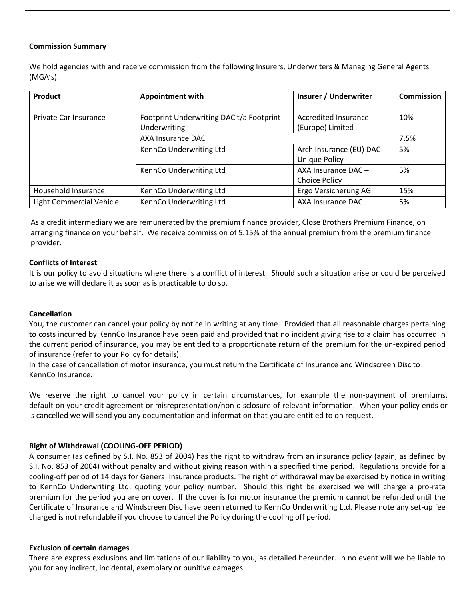## **Commission Summary**

We hold agencies with and receive commission from the following Insurers, Underwriters & Managing General Agents (MGA's).

| <b>Product</b>                  | <b>Appointment with</b>                                  | <b>Insurer / Underwriter</b>                      | <b>Commission</b> |
|---------------------------------|----------------------------------------------------------|---------------------------------------------------|-------------------|
| Private Car Insurance           | Footprint Underwriting DAC t/a Footprint<br>Underwriting | Accredited Insurance<br>(Europe) Limited          | 10%               |
|                                 | AXA Insurance DAC                                        |                                                   | 7.5%              |
|                                 | KennCo Underwriting Ltd                                  | Arch Insurance (EU) DAC -<br><b>Unique Policy</b> | 5%                |
|                                 | KennCo Underwriting Ltd                                  | AXA Insurance DAC-<br><b>Choice Policy</b>        | 5%                |
| Household Insurance             | KennCo Underwriting Ltd                                  | Ergo Versicherung AG                              | 15%               |
| <b>Light Commercial Vehicle</b> | KennCo Underwriting Ltd                                  | AXA Insurance DAC                                 | 5%                |

As a credit intermediary we are remunerated by the premium finance provider, Close Brothers Premium Finance, on arranging finance on your behalf. We receive commission of 5.15% of the annual premium from the premium finance provider.

## **Conflicts of Interest**

It is our policy to avoid situations where there is a conflict of interest. Should such a situation arise or could be perceived to arise we will declare it as soon as is practicable to do so.

## **Cancellation**

You, the customer can cancel your policy by notice in writing at any time. Provided that all reasonable charges pertaining to costs incurred by KennCo Insurance have been paid and provided that no incident giving rise to a claim has occurred in the current period of insurance, you may be entitled to a proportionate return of the premium for the un-expired period of insurance (refer to your Policy for details).

In the case of cancellation of motor insurance, you must return the Certificate of Insurance and Windscreen Disc to KennCo Insurance.

We reserve the right to cancel your policy in certain circumstances, for example the non-payment of premiums, default on your credit agreement or misrepresentation/non-disclosure of relevant information. When your policy ends or is cancelled we will send you any documentation and information that you are entitled to on request.

## **Right of Withdrawal (COOLING-OFF PERIOD)**

A consumer (as defined by S.I. No. 853 of 2004) has the right to withdraw from an insurance policy (again, as defined by S.I. No. 853 of 2004) without penalty and without giving reason within a specified time period. Regulations provide for a cooling-off period of 14 days for General Insurance products. The right of withdrawal may be exercised by notice in writing to KennCo Underwriting Ltd. quoting your policy number. Should this right be exercised we will charge a pro-rata premium for the period you are on cover. If the cover is for motor insurance the premium cannot be refunded until the Certificate of Insurance and Windscreen Disc have been returned to KennCo Underwriting Ltd. Please note any set-up fee charged is not refundable if you choose to cancel the Policy during the cooling off period.

#### **Exclusion of certain damages**

There are express exclusions and limitations of our liability to you, as detailed hereunder. In no event will we be liable to you for any indirect, incidental, exemplary or punitive damages.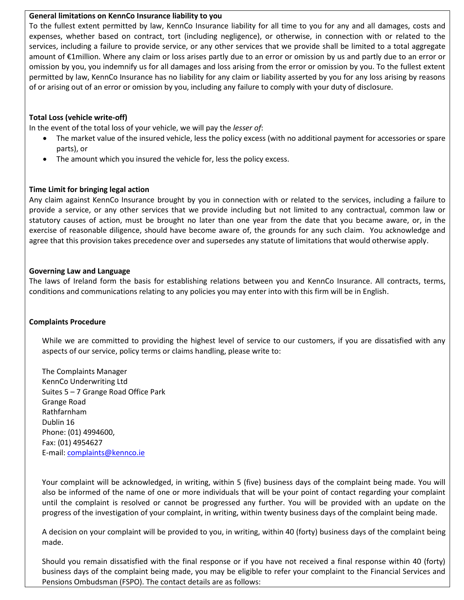## **General limitations on KennCo Insurance liability to you**

To the fullest extent permitted by law, KennCo Insurance liability for all time to you for any and all damages, costs and expenses, whether based on contract, tort (including negligence), or otherwise, in connection with or related to the services, including a failure to provide service, or any other services that we provide shall be limited to a total aggregate amount of €1million. Where any claim or loss arises partly due to an error or omission by us and partly due to an error or omission by you, you indemnify us for all damages and loss arising from the error or omission by you. To the fullest extent permitted by law, KennCo Insurance has no liability for any claim or liability asserted by you for any loss arising by reasons of or arising out of an error or omission by you, including any failure to comply with your duty of disclosure.

## **Total Loss (vehicle write-off)**

In the event of the total loss of your vehicle, we will pay the *lesser of*:

- The market value of the insured vehicle, less the policy excess (with no additional payment for accessories or spare parts), or
- The amount which you insured the vehicle for, less the policy excess.

## **Time Limit for bringing legal action**

Any claim against KennCo Insurance brought by you in connection with or related to the services, including a failure to provide a service, or any other services that we provide including but not limited to any contractual, common law or statutory causes of action, must be brought no later than one year from the date that you became aware, or, in the exercise of reasonable diligence, should have become aware of, the grounds for any such claim. You acknowledge and agree that this provision takes precedence over and supersedes any statute of limitations that would otherwise apply.

## **Governing Law and Language**

The laws of Ireland form the basis for establishing relations between you and KennCo Insurance. All contracts, terms, conditions and communications relating to any policies you may enter into with this firm will be in English.

## **Complaints Procedure**

While we are committed to providing the highest level of service to our customers, if you are dissatisfied with any aspects of our service, policy terms or claims handling, please write to:

The Complaints Manager KennCo Underwriting Ltd Suites 5 – 7 Grange Road Office Park Grange Road Rathfarnham Dublin 16 Phone: (01) 4994600, Fax: (01) 4954627 E-mail: [complaints@kennco.ie](mailto:complaints@kennco.ie)

Your complaint will be acknowledged, in writing, within 5 (five) business days of the complaint being made. You will also be informed of the name of one or more individuals that will be your point of contact regarding your complaint until the complaint is resolved or cannot be progressed any further. You will be provided with an update on the progress of the investigation of your complaint, in writing, within twenty business days of the complaint being made.

A decision on your complaint will be provided to you, in writing, within 40 (forty) business days of the complaint being made.

Should you remain dissatisfied with the final response or if you have not received a final response within 40 (forty) business days of the complaint being made, you may be eligible to refer your complaint to the Financial Services and Pensions Ombudsman (FSPO). The contact details are as follows: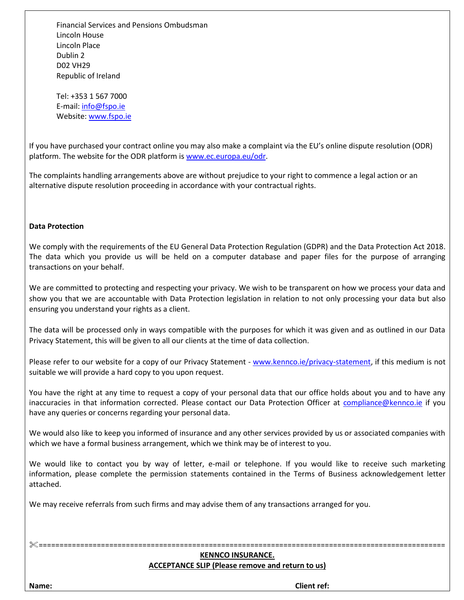Financial Services and Pensions Ombudsman Lincoln House Lincoln Place Dublin 2 D02 VH29 Republic of Ireland

Tel: +353 1 567 7000 E-mail: [info@fspo.ie](mailto:info@fspo.ie) Website: [www.fspo.ie](http://www.fspo.ie/)

If you have purchased your contract online you may also make a complaint via the EU's online dispute resolution (ODR) platform. The website for the ODR platform is [www.ec.europa.eu/odr.](http://www.ec.europa.eu/odr)

The complaints handling arrangements above are without prejudice to your right to commence a legal action or an alternative dispute resolution proceeding in accordance with your contractual rights.

#### **Data Protection**

We comply with the requirements of the EU General Data Protection Regulation (GDPR) and the Data Protection Act 2018. The data which you provide us will be held on a computer database and paper files for the purpose of arranging transactions on your behalf.

We are committed to protecting and respecting your privacy. We wish to be transparent on how we process your data and show you that we are accountable with Data Protection legislation in relation to not only processing your data but also ensuring you understand your rights as a client.

The data will be processed only in ways compatible with the purposes for which it was given and as outlined in our Data Privacy Statement, this will be given to all our clients at the time of data collection.

Please refer to our website for a copy of our Privacy Statement - [www.kennco.ie/privacy-statement,](https://www.kennco.ie/privacy-statement/) if this medium is not suitable we will provide a hard copy to you upon request.

You have the right at any time to request a copy of your personal data that our office holds about you and to have any inaccuracies in that information corrected. Please contact our Data Protection Officer at [compliance@kennco.ie](mailto:compliance@kennco.ie) if you have any queries or concerns regarding your personal data.

We would also like to keep you informed of insurance and any other services provided by us or associated companies with which we have a formal business arrangement, which we think may be of interest to you.

We would like to contact you by way of letter, e-mail or telephone. If you would like to receive such marketing information, please complete the permission statements contained in the Terms of Business acknowledgement letter attached.

We may receive referrals from such firms and may advise them of any transactions arranged for you.

# **KENNCO INSURANCE. ACCEPTANCE SLIP (Please remove and return to us)**

==================================================================================================

**Name: Client ref:**